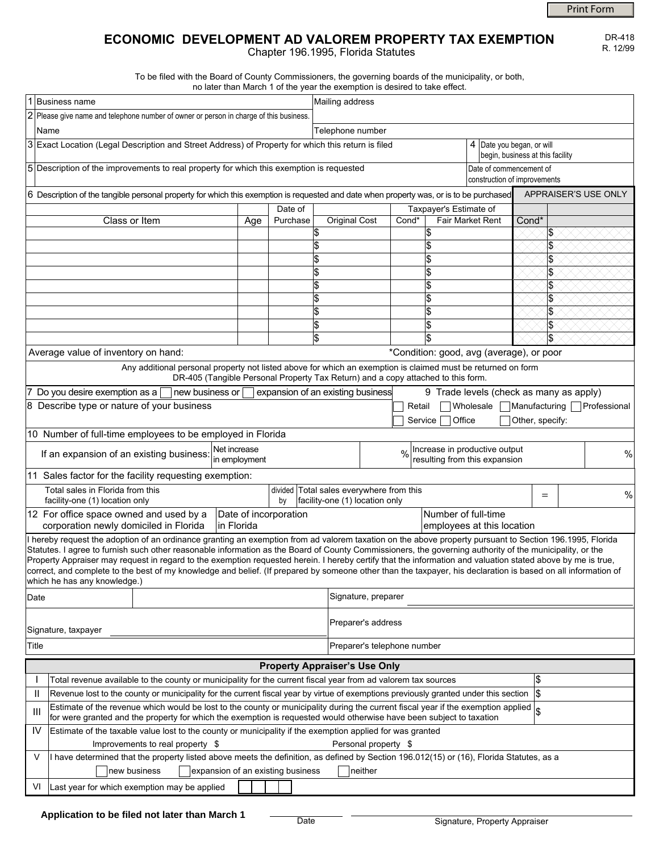Print Form

DR-418 R. 12/99

# **ECONOMIC DEVELOPMENT AD VALOREM PROPERTY TAX EXEMPTION**

Chapter 196.1995, Florida Statutes

To be filed with the Board of County Commissioners, the governing boards of the municipality, or both, no later than March 1 of the year the exemption is desired to take effect.

|                                                                                                                                                                                                                                                                                                                      |                                                                                                                                                                                                                                                                           |  |                                                         | no later than march if or the year the exemption is desired to take enect. |                                                                 |           |        |       |                 |  |      |  |
|----------------------------------------------------------------------------------------------------------------------------------------------------------------------------------------------------------------------------------------------------------------------------------------------------------------------|---------------------------------------------------------------------------------------------------------------------------------------------------------------------------------------------------------------------------------------------------------------------------|--|---------------------------------------------------------|----------------------------------------------------------------------------|-----------------------------------------------------------------|-----------|--------|-------|-----------------|--|------|--|
|                                                                                                                                                                                                                                                                                                                      | 1 Business name                                                                                                                                                                                                                                                           |  |                                                         | Mailing address                                                            |                                                                 |           |        |       |                 |  |      |  |
|                                                                                                                                                                                                                                                                                                                      | 2 Please give name and telephone number of owner or person in charge of this business.                                                                                                                                                                                    |  |                                                         |                                                                            |                                                                 |           |        |       |                 |  |      |  |
|                                                                                                                                                                                                                                                                                                                      | Name                                                                                                                                                                                                                                                                      |  | Telephone number                                        |                                                                            |                                                                 |           |        |       |                 |  |      |  |
|                                                                                                                                                                                                                                                                                                                      | 3 Exact Location (Legal Description and Street Address) of Property for which this return is filed                                                                                                                                                                        |  |                                                         |                                                                            | 4   Date you began, or will<br>begin, business at this facility |           |        |       |                 |  |      |  |
|                                                                                                                                                                                                                                                                                                                      | 5 Description of the improvements to real property for which this exemption is requested                                                                                                                                                                                  |  | Date of commencement of<br>construction of improvements |                                                                            |                                                                 |           |        |       |                 |  |      |  |
|                                                                                                                                                                                                                                                                                                                      | APPRAISER'S USE ONLY<br>6 Description of the tangible personal property for which this exemption is requested and date when property was, or is to be purchased                                                                                                           |  |                                                         |                                                                            |                                                                 |           |        |       |                 |  |      |  |
| Date of                                                                                                                                                                                                                                                                                                              |                                                                                                                                                                                                                                                                           |  |                                                         |                                                                            | Taxpayer's Estimate of                                          |           |        |       |                 |  |      |  |
|                                                                                                                                                                                                                                                                                                                      | Class or Item<br>Age                                                                                                                                                                                                                                                      |  | Purchase                                                | <b>Original Cost</b>                                                       | Cond*<br><b>Fair Market Rent</b>                                |           |        | Cond* |                 |  |      |  |
|                                                                                                                                                                                                                                                                                                                      |                                                                                                                                                                                                                                                                           |  |                                                         | \$                                                                         |                                                                 |           |        |       |                 |  |      |  |
|                                                                                                                                                                                                                                                                                                                      |                                                                                                                                                                                                                                                                           |  |                                                         |                                                                            |                                                                 |           |        |       |                 |  |      |  |
|                                                                                                                                                                                                                                                                                                                      |                                                                                                                                                                                                                                                                           |  |                                                         | \$                                                                         |                                                                 |           |        |       | l\$             |  |      |  |
|                                                                                                                                                                                                                                                                                                                      |                                                                                                                                                                                                                                                                           |  |                                                         | \$                                                                         |                                                                 |           |        |       |                 |  |      |  |
|                                                                                                                                                                                                                                                                                                                      |                                                                                                                                                                                                                                                                           |  |                                                         |                                                                            |                                                                 |           |        |       |                 |  |      |  |
|                                                                                                                                                                                                                                                                                                                      |                                                                                                                                                                                                                                                                           |  |                                                         |                                                                            |                                                                 |           |        |       |                 |  |      |  |
|                                                                                                                                                                                                                                                                                                                      |                                                                                                                                                                                                                                                                           |  |                                                         |                                                                            |                                                                 |           |        |       | 1\$             |  |      |  |
|                                                                                                                                                                                                                                                                                                                      |                                                                                                                                                                                                                                                                           |  |                                                         |                                                                            |                                                                 |           |        |       | \$              |  |      |  |
|                                                                                                                                                                                                                                                                                                                      |                                                                                                                                                                                                                                                                           |  |                                                         | \$                                                                         |                                                                 |           |        |       | l\$             |  |      |  |
| Average value of inventory on hand:<br>*Condition: good, avg (average), or poor                                                                                                                                                                                                                                      |                                                                                                                                                                                                                                                                           |  |                                                         |                                                                            |                                                                 |           |        |       |                 |  |      |  |
| Any additional personal property not listed above for which an exemption is claimed must be returned on form<br>DR-405 (Tangible Personal Property Tax Return) and a copy attached to this form.                                                                                                                     |                                                                                                                                                                                                                                                                           |  |                                                         |                                                                            |                                                                 |           |        |       |                 |  |      |  |
| 7 Do you desire exemption as a<br>9 Trade levels (check as many as apply)<br>new business or<br>expansion of an existing business                                                                                                                                                                                    |                                                                                                                                                                                                                                                                           |  |                                                         |                                                                            |                                                                 |           |        |       |                 |  |      |  |
| 8 Describe type or nature of your business                                                                                                                                                                                                                                                                           |                                                                                                                                                                                                                                                                           |  |                                                         |                                                                            | Wholesale<br>Manufacturing Professional<br>Retail               |           |        |       |                 |  |      |  |
|                                                                                                                                                                                                                                                                                                                      |                                                                                                                                                                                                                                                                           |  |                                                         |                                                                            |                                                                 | Service [ | Office |       | Other, specify: |  |      |  |
| 10 Number of full-time employees to be employed in Florida                                                                                                                                                                                                                                                           |                                                                                                                                                                                                                                                                           |  |                                                         |                                                                            |                                                                 |           |        |       |                 |  |      |  |
| Net increase<br>Increase in productive output                                                                                                                                                                                                                                                                        |                                                                                                                                                                                                                                                                           |  |                                                         |                                                                            |                                                                 |           |        |       |                 |  |      |  |
| If an expansion of an existing business:<br>in employment                                                                                                                                                                                                                                                            |                                                                                                                                                                                                                                                                           |  |                                                         |                                                                            | %<br>resulting from this expansion                              |           |        |       |                 |  |      |  |
| 11 Sales factor for the facility requesting exemption:                                                                                                                                                                                                                                                               |                                                                                                                                                                                                                                                                           |  |                                                         |                                                                            |                                                                 |           |        |       |                 |  |      |  |
|                                                                                                                                                                                                                                                                                                                      | Total sales in Florida from this                                                                                                                                                                                                                                          |  |                                                         | divided Total sales everywhere from this                                   |                                                                 |           |        |       |                 |  | $\%$ |  |
| $=$<br>facility-one (1) location only<br>facility-one (1) location only<br>by                                                                                                                                                                                                                                        |                                                                                                                                                                                                                                                                           |  |                                                         |                                                                            |                                                                 |           |        |       |                 |  |      |  |
| Number of full-time<br>12 For office space owned and used by a<br>Date of incorporation                                                                                                                                                                                                                              |                                                                                                                                                                                                                                                                           |  |                                                         |                                                                            |                                                                 |           |        |       |                 |  |      |  |
|                                                                                                                                                                                                                                                                                                                      | in Florida<br>corporation newly domiciled in Florida                                                                                                                                                                                                                      |  | employees at this location                              |                                                                            |                                                                 |           |        |       |                 |  |      |  |
| I hereby request the adoption of an ordinance granting an exemption from ad valorem taxation on the above property pursuant to Section 196.1995, Florida<br>Statutes. I agree to furnish such other reasonable information as the Board of County Commissioners, the governing authority of the municipality, or the |                                                                                                                                                                                                                                                                           |  |                                                         |                                                                            |                                                                 |           |        |       |                 |  |      |  |
| Property Appraiser may request in regard to the exemption requested herein. I hereby certify that the information and valuation stated above by me is true,                                                                                                                                                          |                                                                                                                                                                                                                                                                           |  |                                                         |                                                                            |                                                                 |           |        |       |                 |  |      |  |
| correct, and complete to the best of my knowledge and belief. (If prepared by someone other than the taxpayer, his declaration is based on all information of                                                                                                                                                        |                                                                                                                                                                                                                                                                           |  |                                                         |                                                                            |                                                                 |           |        |       |                 |  |      |  |
|                                                                                                                                                                                                                                                                                                                      | which he has any knowledge.)                                                                                                                                                                                                                                              |  |                                                         |                                                                            |                                                                 |           |        |       |                 |  |      |  |
| Date                                                                                                                                                                                                                                                                                                                 |                                                                                                                                                                                                                                                                           |  |                                                         |                                                                            | Signature, preparer                                             |           |        |       |                 |  |      |  |
|                                                                                                                                                                                                                                                                                                                      |                                                                                                                                                                                                                                                                           |  |                                                         |                                                                            | Preparer's address                                              |           |        |       |                 |  |      |  |
| Signature, taxpayer<br>Title                                                                                                                                                                                                                                                                                         |                                                                                                                                                                                                                                                                           |  |                                                         |                                                                            | Preparer's telephone number                                     |           |        |       |                 |  |      |  |
| <b>Property Appraiser's Use Only</b>                                                                                                                                                                                                                                                                                 |                                                                                                                                                                                                                                                                           |  |                                                         |                                                                            |                                                                 |           |        |       |                 |  |      |  |
|                                                                                                                                                                                                                                                                                                                      |                                                                                                                                                                                                                                                                           |  |                                                         |                                                                            |                                                                 |           |        |       | \$              |  |      |  |
| $\mathbf{H}$                                                                                                                                                                                                                                                                                                         | Total revenue available to the county or municipality for the current fiscal year from ad valorem tax sources                                                                                                                                                             |  |                                                         |                                                                            |                                                                 |           |        |       |                 |  |      |  |
|                                                                                                                                                                                                                                                                                                                      | Revenue lost to the county or municipality for the current fiscal year by virtue of exemptions previously granted under this section<br>Estimate of the revenue which would be lost to the county or municipality during the current fiscal year if the exemption applied |  |                                                         |                                                                            |                                                                 |           |        |       |                 |  |      |  |
| Ш                                                                                                                                                                                                                                                                                                                    | for were granted and the property for which the exemption is requested would otherwise have been subject to taxation                                                                                                                                                      |  |                                                         |                                                                            |                                                                 |           |        |       |                 |  |      |  |
| IV                                                                                                                                                                                                                                                                                                                   | Estimate of the taxable value lost to the county or municipality if the exemption applied for was granted                                                                                                                                                                 |  |                                                         |                                                                            |                                                                 |           |        |       |                 |  |      |  |
|                                                                                                                                                                                                                                                                                                                      | Personal property \$<br>Improvements to real property \$                                                                                                                                                                                                                  |  |                                                         |                                                                            |                                                                 |           |        |       |                 |  |      |  |
| V                                                                                                                                                                                                                                                                                                                    | I have determined that the property listed above meets the definition, as defined by Section 196.012(15) or (16), Florida Statutes, as a                                                                                                                                  |  |                                                         |                                                                            |                                                                 |           |        |       |                 |  |      |  |
|                                                                                                                                                                                                                                                                                                                      | expansion of an existing business<br>neither<br>new business                                                                                                                                                                                                              |  |                                                         |                                                                            |                                                                 |           |        |       |                 |  |      |  |
| VI                                                                                                                                                                                                                                                                                                                   | Last year for which exemption may be applied                                                                                                                                                                                                                              |  |                                                         |                                                                            |                                                                 |           |        |       |                 |  |      |  |